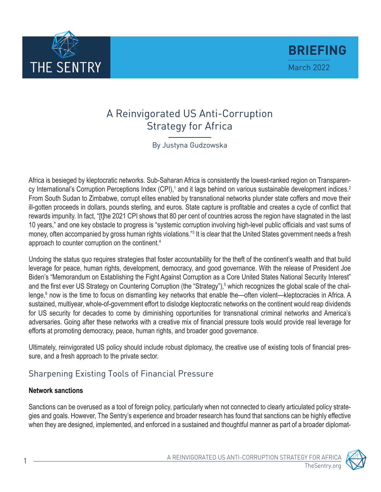

<span id="page-0-0"></span>

# A Reinvigorated US Anti-Corruption Strategy for Africa

By Justyna Gudzowska

Africa is besieged by kleptocratic networks. Sub-Saharan Africa is consistently the lowest-ranked region on Transparen-cy International's Corruption Perceptions Index (CPI),<sup>[1](#page-8-0)</sup> and it lags behind on various sustainable development indices.<sup>[2](#page-8-0)</sup> From South Sudan to Zimbabwe, corrupt elites enabled by transnational networks plunder state coffers and move their ill-gotten proceeds in dollars, pounds sterling, and euros. State capture is profitable and creates a cycle of conflict that rewards impunity. In fact, "[t]he 2021 CPI shows that 80 per cent of countries across the region have stagnated in the last 10 years," and one key obstacle to progress is "systemic corruption involving high-level public officials and vast sums of money, often accompanied by gross human rights violations."<sup>[3](#page-8-0)</sup> It is clear that the United States government needs a fresh approach to counter corruption on the continent.[4](#page-8-0)

Undoing the status quo requires strategies that foster accountability for the theft of the continent's wealth and that build leverage for peace, human rights, development, democracy, and good governance. With the release of President Joe Biden's "Memorandum on Establishing the Fight Against Corruption as a Core United States National Security Interest" and the first ever US Strategy on Countering Corruption (the "Strategy"),<sup>[5](#page-8-0)</sup> which recognizes the global scale of the chal-lenge,<sup>[6](#page-8-0)</sup> now is the time to focus on dismantling key networks that enable the—often violent—kleptocracies in Africa. A sustained, multiyear, whole-of-government effort to dislodge kleptocratic networks on the continent would reap dividends for US security for decades to come by diminishing opportunities for transnational criminal networks and America's adversaries. Going after these networks with a creative mix of financial pressure tools would provide real leverage for efforts at promoting democracy, peace, human rights, and broader good governance.

Ultimately, reinvigorated US policy should include robust diplomacy, the creative use of existing tools of financial pressure, and a fresh approach to the private sector.

# Sharpening Existing Tools of Financial Pressure

#### **Network sanctions**

Sanctions can be overused as a tool of foreign policy, particularly when not connected to clearly articulated policy strategies and goals. However, The Sentry's experience and broader research has found that sanctions can be highly effective when they are designed, implemented, and enforced in a sustained and thoughtful manner as part of a broader diplomat-

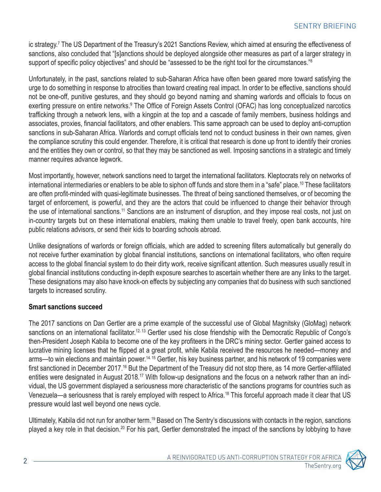<span id="page-1-0"></span>ic strategy.[7](#page-8-0) The US Department of the Treasury's 2021 Sanctions Review, which aimed at ensuring the effectiveness of sanctions, also concluded that "[s]anctions should be deployed alongside other measures as part of a larger strategy in support of specific policy objectives" and should be "assessed to be the right tool for the circumstances."<sup>[8](#page-8-0)</sup>

Unfortunately, in the past, sanctions related to sub-Saharan Africa have often been geared more toward satisfying the urge to do something in response to atrocities than toward creating real impact. In order to be effective, sanctions should not be one-off, punitive gestures, and they should go beyond naming and shaming warlords and officials to focus on exerting pressure on entire networks.<sup>9</sup> The Office of Foreign Assets Control (OFAC) has long conceptualized narcotics trafficking through a network lens, with a kingpin at the top and a cascade of family members, business holdings and associates, proxies, financial facilitators, and other enablers. This same approach can be used to deploy anti-corruption sanctions in sub-Saharan Africa. Warlords and corrupt officials tend not to conduct business in their own names, given the compliance scrutiny this could engender. Therefore, it is critical that research is done up front to identify their cronies and the entities they own or control, so that they may be sanctioned as well. Imposing sanctions in a strategic and timely manner requires advance legwork.

Most importantly, however, network sanctions need to target the international facilitators. Kleptocrats rely on networks of international intermediaries or enablers to be able to siphon off funds and store them in a "safe" place.[10](#page-8-0) These facilitators are often profit-minded with quasi-legitimate businesses. The threat of being sanctioned themselves, or of becoming the target of enforcement, is powerful, and they are the actors that could be influenced to change their behavior through the use of international sanctions[.11](#page-8-0) Sanctions are an instrument of disruption, and they impose real costs, not just on in-country targets but on these international enablers, making them unable to travel freely, open bank accounts, hire public relations advisors, or send their kids to boarding schools abroad.

Unlike designations of warlords or foreign officials, which are added to screening filters automatically but generally do not receive further examination by global financial institutions, sanctions on international facilitators, who often require access to the global financial system to do their dirty work, receive significant attention. Such measures usually result in global financial institutions conducting in-depth exposure searches to ascertain whether there are any links to the target. These designations may also have knock-on effects by subjecting any companies that do business with such sanctioned targets to increased scrutiny.

#### **Smart sanctions succeed**

The 2017 sanctions on Dan Gertler are a prime example of the successful use of Global Magnitsky (GloMag) network sanctions on an international facilitator.<sup>12, [13](#page-8-0)</sup> Gertler used his close friendship with the Democratic Republic of Congo's then-President Joseph Kabila to become one of the key profiteers in the DRC's mining sector. Gertler gained access to lucrative mining licenses that he flipped at a great profit, while Kabila received the resources he needed—money and arms—to win elections and maintain power.<sup>[14](#page-8-0), [15](#page-8-0)</sup> Gertler, his key business partner, and his network of 19 companies were first sanctioned in December 2017.[16](#page-8-0) But the Department of the Treasury did not stop there, as 14 more Gertler-affiliated entities were designated in August 2018.<sup>17</sup> With follow-up designations and the focus on a network rather than an individual, the US government displayed a seriousness more characteristic of the sanctions programs for countries such as Venezuela—a seriousness that is rarely employed with respect to Africa.[18](#page-9-0) This forceful approach made it clear that US pressure would last well beyond one news cycle.

Ultimately, Kabila did not run for another term[.19](#page-9-0) Based on The Sentry's discussions with contacts in the region, sanctions played a key role in that decision.<sup>[20](#page-9-0)</sup> For his part, Gertler demonstrated the impact of the sanctions by lobbying to have

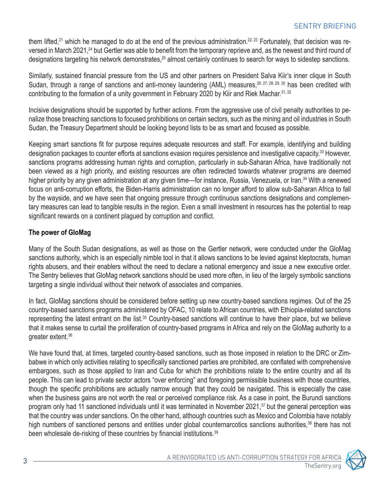<span id="page-2-0"></span>them lifted,<sup>[21](#page-9-0)</sup> which he managed to do at the end of the previous administration.<sup>22, [23](#page-9-0)</sup> Fortunately, that decision was reversed in March 2021,<sup>24</sup> but Gertler was able to benefit from the temporary reprieve and, as the newest and third round of designations targeting his network demonstrates,<sup>[25](#page-9-0)</sup> almost certainly continues to search for ways to sidestep sanctions.

Similarly, sustained financial pressure from the US and other partners on President Salva Kiir's inner clique in South Sudan, through a range of sanctions and anti-money laundering (AML) measures, <sup>26, [27](#page-9-0), [28,](#page-9-0) [29,](#page-9-0) [30](#page-9-0)</sup> has been credited with contributing to the formation of a unity government in February 2020 by Kiir and Riek Machar.<sup>31, 32</sup>

Incisive designations should be supported by further actions. From the aggressive use of civil penalty authorities to penalize those breaching sanctions to focused prohibitions on certain sectors, such as the mining and oil industries in South Sudan, the Treasury Department should be looking beyond lists to be as smart and focused as possible.

Keeping smart sanctions fit for purpose requires adequate resources and staff. For example, identifying and building designation packages to counter efforts at sanctions evasion requires persistence and investigative capacity[.33](#page-9-0) However, sanctions programs addressing human rights and corruption, particularly in sub-Saharan Africa, have traditionally not been viewed as a high priority, and existing resources are often redirected towards whatever programs are deemed higher priority by any given administration at any given time—for instance, Russia, Venezuela, or Iran.<sup>[34](#page-9-0)</sup> With a renewed focus on anti-corruption efforts, the Biden-Harris administration can no longer afford to allow sub-Saharan Africa to fall by the wayside, and we have seen that ongoing pressure through continuous sanctions designations and complementary measures can lead to tangible results in the region. Even a small investment in resources has the potential to reap significant rewards on a continent plagued by corruption and conflict.

#### **The power of GloMag**

Many of the South Sudan designations, as well as those on the Gertler network, were conducted under the GloMag sanctions authority, which is an especially nimble tool in that it allows sanctions to be levied against kleptocrats, human rights abusers, and their enablers without the need to declare a national emergency and issue a new executive order. The Sentry believes that GloMag network sanctions should be used more often, in lieu of the largely symbolic sanctions targeting a single individual without their network of associates and companies.

In fact, GloMag sanctions should be considered before setting up new country-based sanctions regimes. Out of the 25 country-based sanctions programs administered by OFAC, 10 relate to African countries, with Ethiopia-related sanctions representing the latest entrant on the list.<sup>35</sup> Country-based sanctions will continue to have their place, but we believe that it makes sense to curtail the proliferation of country-based programs in Africa and rely on the GloMag authority to a greater extent.[36](#page-10-0)

We have found that, at times, targeted country-based sanctions, such as those imposed in relation to the DRC or Zimbabwe in which only activities relating to specifically sanctioned parties are prohibited, are conflated with comprehensive embargoes, such as those applied to Iran and Cuba for which the prohibitions relate to the entire country and all its people. This can lead to private sector actors "over enforcing" and foregoing permissible business with those countries, though the specific prohibitions are actually narrow enough that they could be navigated. This is especially the case when the business gains are not worth the real or perceived compliance risk. As a case in point, the Burundi sanctions program only had 11 sanctioned individuals until it was terminated in November 2021,<sup>[37](#page-10-0)</sup> but the general perception was that the country was under sanctions. On the other hand, although countries such as Mexico and Colombia have notably high numbers of sanctioned persons and entities under global counternarcotics sanctions authorities,<sup>[38](#page-10-0)</sup> there has not been wholesale de-risking of these countries by financial institutions.<sup>[39](#page-10-0)</sup>

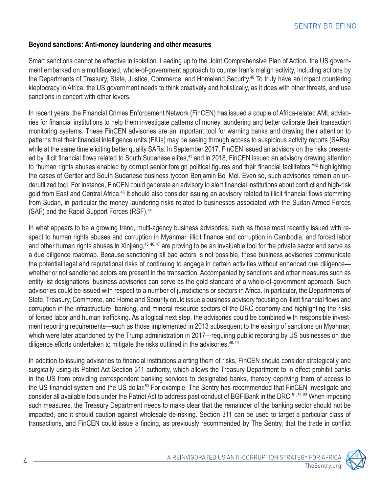#### <span id="page-3-0"></span>**Beyond sanctions: Anti-money laundering and other measures**

Smart sanctions cannot be effective in isolation. Leading up to the Joint Comprehensive Plan of Action, the US government embarked on a multifaceted, whole-of-government approach to counter Iran's malign activity, including actions by the Departments of Treasury, State, Justice, Commerce, and Homeland Security[.40](#page-10-0) To truly have an impact countering kleptocracy in Africa, the US government needs to think creatively and holistically, as it does with other threats, and use sanctions in concert with other levers.

In recent years, the Financial Crimes Enforcement Network (FinCEN) has issued a couple of Africa-related AML advisories for financial institutions to help them investigate patterns of money laundering and better calibrate their transaction monitoring systems. These FinCEN advisories are an important tool for warning banks and drawing their attention to patterns that their financial intelligence units (FIUs) may be seeing through access to suspicious activity reports (SARs), while at the same time eliciting better quality SARs. In September 2017, FinCEN issued an advisory on the risks presented by illicit financial flows related to South Sudanese elites,<sup>41</sup> and in 2018, FinCEN issued an advisory drawing attention to "human rights abuses enabled by corrupt senior foreign political figures and their financial facilitators,"[42](#page-10-0) highlighting the cases of Gertler and South Sudanese business tycoon Benjamin Bol Mel. Even so, such advisories remain an underutilized tool. For instance, FinCEN could generate an advisory to alert financial institutions about conflict and high-risk gold from East and Central Africa.<sup>43</sup> It should also consider issuing an advisory related to illicit financial flows stemming from Sudan, in particular the money laundering risks related to businesses associated with the Sudan Armed Forces (SAF) and the Rapid Support Forces (RSF).<sup>[44](#page-10-0)</sup>

In what appears to be a growing trend, multi-agency business advisories, such as those most recently issued with respect to human rights abuses and corruption in Myanmar, illicit finance and corruption in Cambodia, and forced labor and other human rights abuses in Xinjiang,<sup>[45,](#page-10-0) [46,](#page-10-0) [47](#page-10-0)</sup> are proving to be an invaluable tool for the private sector and serve as a due diligence roadmap. Because sanctioning all bad actors is not possible, these business advisories communicate the potential legal and reputational risks of continuing to engage in certain activities without enhanced due diligence whether or not sanctioned actors are present in the transaction. Accompanied by sanctions and other measures such as entity list designations, business advisories can serve as the gold standard of a whole-of-government approach. Such advisories could be issued with respect to a number of jurisdictions or sectors in Africa. In particular, the Departments of State, Treasury, Commerce, and Homeland Security could issue a business advisory focusing on illicit financial flows and corruption in the infrastructure, banking, and mineral resource sectors of the DRC economy and highlighting the risks of forced labor and human trafficking. As a logical next step, the advisories could be combined with responsible investment reporting requirements—such as those implemented in 2013 subsequent to the easing of sanctions on Myanmar, which were later abandoned by the Trump administration in 2017—requiring public reporting by US businesses on due diligence efforts undertaken to mitigate the risks outlined in the advisories.<sup>48, 49</sup>

In addition to issuing advisories to financial institutions alerting them of risks, FinCEN should consider strategically and surgically using its Patriot Act Section 311 authority, which allows the Treasury Department to in effect prohibit banks in the US from providing correspondent banking services to designated banks, thereby depriving them of access to the US financial system and the US dollar.<sup>[50](#page-10-0)</sup> For example, The Sentry has recommended that FinCEN investigate and consider all available tools under the Patriot Act to address past conduct of BGFIBank in the DRC[.51, 52, 53](#page-11-0) When imposing such measures, the Treasury Department needs to make clear that the remainder of the banking sector should not be impacted, and it should caution against wholesale de-risking. Section 311 can be used to target a particular class of transactions, and FinCEN could issue a finding, as previously recommended by The Sentry, that the trade in conflict

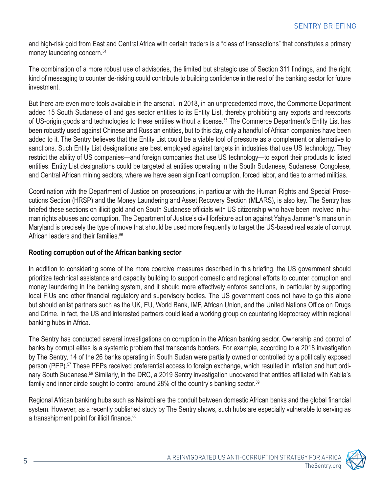<span id="page-4-0"></span>and high-risk gold from East and Central Africa with certain traders is a "class of transactions" that constitutes a primary money laundering concern.<sup>[54](#page-11-0)</sup>

The combination of a more robust use of advisories, the limited but strategic use of Section 311 findings, and the right kind of messaging to counter de-risking could contribute to building confidence in the rest of the banking sector for future investment.

But there are even more tools available in the arsenal. In 2018, in an unprecedented move, the Commerce Department added 15 South Sudanese oil and gas sector entities to its Entity List, thereby prohibiting any exports and reexports of US-origin goods and technologies to these entities without a license.<sup>55</sup> The Commerce Department's Entity List has been robustly used against Chinese and Russian entities, but to this day, only a handful of African companies have been added to it. The Sentry believes that the Entity List could be a viable tool of pressure as a complement or alternative to sanctions. Such Entity List designations are best employed against targets in industries that use US technology. They restrict the ability of US companies—and foreign companies that use US technology—to export their products to listed entities. Entity List designations could be targeted at entities operating in the South Sudanese, Sudanese, Congolese, and Central African mining sectors, where we have seen significant corruption, forced labor, and ties to armed militias.

Coordination with the Department of Justice on prosecutions, in particular with the Human Rights and Special Prosecutions Section (HRSP) and the Money Laundering and Asset Recovery Section (MLARS), is also key. The Sentry has briefed these sections on illicit gold and on South Sudanese officials with US citizenship who have been involved in human rights abuses and corruption. The Department of Justice's civil forfeiture action against Yahya Jammeh's mansion in Maryland is precisely the type of move that should be used more frequently to target the US-based real estate of corrupt African leaders and their families.<sup>[56](#page-11-0)</sup>

#### **Rooting corruption out of the African banking sector**

In addition to considering some of the more coercive measures described in this briefing, the US government should prioritize technical assistance and capacity building to support domestic and regional efforts to counter corruption and money laundering in the banking system, and it should more effectively enforce sanctions, in particular by supporting local FIUs and other financial regulatory and supervisory bodies. The US government does not have to go this alone but should enlist partners such as the UK, EU, World Bank, IMF, African Union, and the United Nations Office on Drugs and Crime. In fact, the US and interested partners could lead a working group on countering kleptocracy within regional banking hubs in Africa.

The Sentry has conducted several investigations on corruption in the African banking sector. Ownership and control of banks by corrupt elites is a systemic problem that transcends borders. For example, according to a 2018 investigation by The Sentry, 14 of the 26 banks operating in South Sudan were partially owned or controlled by a politically exposed person (PEP).[57](#page-11-0) These PEPs received preferential access to foreign exchange, which resulted in inflation and hurt ordinary South Sudanese.<sup>58</sup> Similarly, in the DRC, a 2019 Sentry investigation uncovered that entities affiliated with Kabila's family and inner circle sought to control around 28% of the country's banking sector.[59](#page-11-0)

Regional African banking hubs such as Nairobi are the conduit between domestic African banks and the global financial system. However, as a recently published study by The Sentry shows, such hubs are especially vulnerable to serving as a transshipment point for illicit finance.<sup>[60](#page-11-0)</sup>

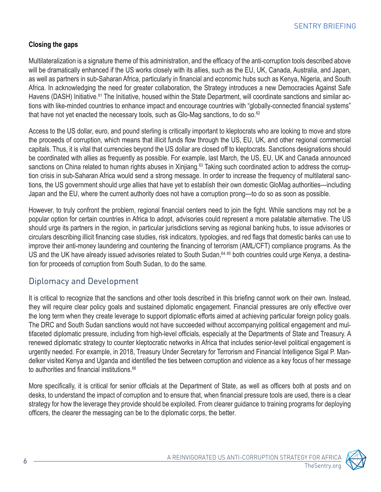#### <span id="page-5-0"></span>**Closing the gaps**

Multilateralization is a signature theme of this administration, and the efficacy of the anti-corruption tools described above will be dramatically enhanced if the US works closely with its allies, such as the EU, UK, Canada, Australia, and Japan, as well as partners in sub-Saharan Africa, particularly in financial and economic hubs such as Kenya, Nigeria, and South Africa. In acknowledging the need for greater collaboration, the Strategy introduces a new Democracies Against Safe Havens (DASH) Initiative.<sup>[61](#page-11-0)</sup> The Initiative, housed within the State Department, will coordinate sanctions and similar actions with like-minded countries to enhance impact and encourage countries with "globally-connected financial systems" that have not yet enacted the necessary tools, such as Glo-Mag sanctions, to do so. $62$ 

Access to the US dollar, euro, and pound sterling is critically important to kleptocrats who are looking to move and store the proceeds of corruption, which means that illicit funds flow through the US, EU, UK, and other regional commercial capitals. Thus, it is vital that currencies beyond the US dollar are closed off to kleptocrats. Sanctions designations should be coordinated with allies as frequently as possible. For example, last March, the US, EU, UK and Canada announced sanctions on China related to human rights abuses in Xinjiang.<sup>[63](#page-11-0)</sup> Taking such coordinated action to address the corruption crisis in sub-Saharan Africa would send a strong message. In order to increase the frequency of multilateral sanctions, the US government should urge allies that have yet to establish their own domestic GloMag authorities—including Japan and the EU, where the current authority does not have a corruption prong—to do so as soon as possible.

However, to truly confront the problem, regional financial centers need to join the fight. While sanctions may not be a popular option for certain countries in Africa to adopt, advisories could represent a more palatable alternative. The US should urge its partners in the region, in particular jurisdictions serving as regional banking hubs, to issue advisories or circulars describing illicit financing case studies, risk indicators, typologies, and red flags that domestic banks can use to improve their anti-money laundering and countering the financing of terrorism (AML/CFT) compliance programs. As the US and the UK have already issued advisories related to South Sudan, <sup>[64,](#page-11-0) [65](#page-11-0)</sup> both countries could urge Kenya, a destination for proceeds of corruption from South Sudan, to do the same.

## Diplomacy and Development

It is critical to recognize that the sanctions and other tools described in this briefing cannot work on their own. Instead, they will require clear policy goals and sustained diplomatic engagement. Financial pressures are only effective over the long term when they create leverage to support diplomatic efforts aimed at achieving particular foreign policy goals. The DRC and South Sudan sanctions would not have succeeded without accompanying political engagement and multifaceted diplomatic pressure, including from high-level officials, especially at the Departments of State and Treasury. A renewed diplomatic strategy to counter kleptocratic networks in Africa that includes senior-level political engagement is urgently needed. For example, in 2018, Treasury Under Secretary for Terrorism and Financial Intelligence Sigal P. Mandelker visited Kenya and Uganda and identified the ties between corruption and violence as a key focus of her message to authorities and financial institutions.<sup>[66](#page-11-0)</sup>

More specifically, it is critical for senior officials at the Department of State, as well as officers both at posts and on desks, to understand the impact of corruption and to ensure that, when financial pressure tools are used, there is a clear strategy for how the leverage they provide should be exploited. From clearer guidance to training programs for deploying officers, the clearer the messaging can be to the diplomatic corps, the better.

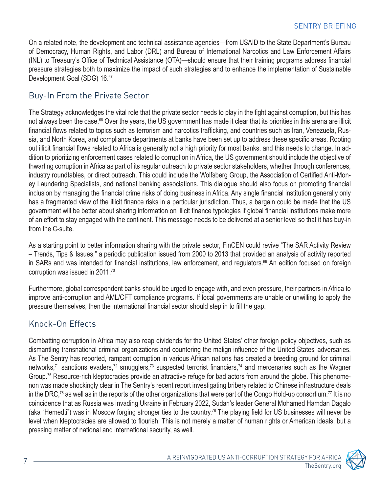<span id="page-6-0"></span>On a related note, the development and technical assistance agencies—from USAID to the State Department's Bureau of Democracy, Human Rights, and Labor (DRL) and Bureau of International Narcotics and Law Enforcement Affairs (INL) to Treasury's Office of Technical Assistance (OTA)—should ensure that their training programs address financial pressure strategies both to maximize the impact of such strategies and to enhance the implementation of Sustainable Development Goal (SDG) 16.<sup>[67](#page-11-0)</sup>

### Buy-In From the Private Sector

The Strategy acknowledges the vital role that the private sector needs to play in the fight against corruption, but this has not always been the case.<sup>68</sup> Over the years, the US government has made it clear that its priorities in this arena are illicit financial flows related to topics such as terrorism and narcotics trafficking, and countries such as Iran, Venezuela, Russia, and North Korea, and compliance departments at banks have been set up to address these specific areas. Rooting out illicit financial flows related to Africa is generally not a high priority for most banks, and this needs to change. In addition to prioritizing enforcement cases related to corruption in Africa, the US government should include the objective of thwarting corruption in Africa as part of its regular outreach to private sector stakeholders, whether through conferences, industry roundtables, or direct outreach. This could include the Wolfsberg Group, the Association of Certified Anti-Money Laundering Specialists, and national banking associations. This dialogue should also focus on promoting financial inclusion by managing the financial crime risks of doing business in Africa. Any single financial institution generally only has a fragmented view of the illicit finance risks in a particular jurisdiction. Thus, a bargain could be made that the US government will be better about sharing information on illicit finance typologies if global financial institutions make more of an effort to stay engaged with the continent. This message needs to be delivered at a senior level so that it has buy-in from the C-suite.

As a starting point to better information sharing with the private sector, FinCEN could revive "The SAR Activity Review – Trends, Tips & Issues," a periodic publication issued from 2000 to 2013 that provided an analysis of activity reported in SARs and was intended for financial institutions, law enforcement, and regulators.<sup>69</sup> An edition focused on foreign corruption was issued in 2011[.70](#page-11-0)

Furthermore, global correspondent banks should be urged to engage with, and even pressure, their partners in Africa to improve anti-corruption and AML/CFT compliance programs. If local governments are unable or unwilling to apply the pressure themselves, then the international financial sector should step in to fill the gap.

# Knock-On Effects

Combatting corruption in Africa may also reap dividends for the United States' other foreign policy objectives, such as dismantling transnational criminal organizations and countering the malign influence of the United States' adversaries. As The Sentry has reported, rampant corruption in various African nations has created a breeding ground for criminal networks,<sup>71</sup> sanctions evaders,<sup>72</sup> smugglers,<sup>[73](#page-12-0)</sup> [suspected terrorist financiers](https://cdn.thesentry.org/wp-content/uploads/2021/04/MetamorphosisMerhi-TheSentry-Summary.pdf),<sup>[74](#page-12-0)</sup> and mercenaries such as the Wagner Group[.75](#page-12-0) Resource-rich kleptocracies provide an attractive refuge for bad actors from around the globe. This phenomenon was made shockingly clear in The Sentry's recent report investigating bribery related to Chinese infrastructure deals in the DRC,<sup>76</sup> as well as in the reports of the other organizations that were part of the Congo Hold-up consortium.<sup>77</sup> It is no coincidence that as Russia was invading Ukraine in February 2022, Sudan's leader General Mohamed Hamdan Dagalo (aka "Hemedti") was in Moscow forging stronger ties to the country.<sup>[78](#page-12-0)</sup> The playing field for US businesses will never be level when kleptocracies are allowed to flourish. This is not merely a matter of human rights or American ideals, but a pressing matter of national and international security, as well.

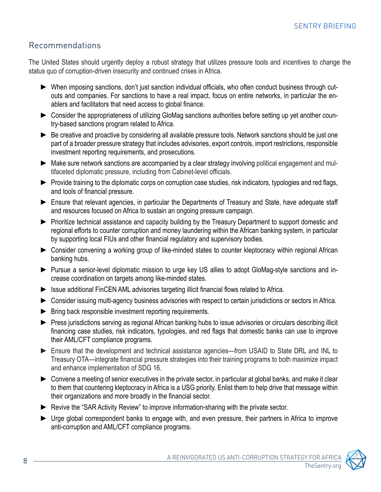# Recommendations

The United States should urgently deploy a robust strategy that utilizes pressure tools and incentives to change the status quo of corruption-driven insecurity and continued crises in Africa.

- ► When imposing sanctions, don't just sanction individual officials, who often conduct business through cutouts and companies. For sanctions to have a real impact, focus on entire networks, in particular the enablers and facilitators that need access to global finance.
- ► Consider the appropriateness of utilizing GloMag sanctions authorities before setting up yet another country-based sanctions program related to Africa.
- ► Be creative and proactive by considering all available pressure tools. Network sanctions should be just one part of a broader pressure strategy that includes advisories, export controls, import restrictions, responsible investment reporting requirements, and prosecutions.
- ► Make sure network sanctions are accompanied by a clear strategy involving political engagement and multifaceted diplomatic pressure, including from Cabinet-level officials.
- ► Provide training to the diplomatic corps on corruption case studies, risk indicators, typologies and red flags, and tools of financial pressure.
- ► Ensure that relevant agencies, in particular the Departments of Treasury and State, have adequate staff and resources focused on Africa to sustain an ongoing pressure campaign.
- ▶ Prioritize technical assistance and capacity building by the Treasury Department to support domestic and regional efforts to counter corruption and money laundering within the African banking system, in particular by supporting local FIUs and other financial regulatory and supervisory bodies.
- ▶ Consider convening a working group of like-minded states to counter kleptocracy within regional African banking hubs.
- ► Pursue a senior-level diplomatic mission to urge key US allies to adopt GloMag-style sanctions and increase coordination on targets among like-minded states.
- ▶ Issue additional FinCEN AML advisories targeting illicit financial flows related to Africa.
- ▶ Consider issuing multi-agency business advisories with respect to certain jurisdictions or sectors in Africa.
- $\blacktriangleright$  Bring back responsible investment reporting requirements.
- ► Press jurisdictions serving as regional African banking hubs to issue advisories or circulars describing illicit financing case studies, risk indicators, typologies, and red flags that domestic banks can use to improve their AML/CFT compliance programs.
- ► Ensure that the development and technical assistance agencies—from USAID to State DRL and INL to Treasury OTA—integrate financial pressure strategies into their training programs to both maximize impact and enhance implementation of SDG 16.
- ► Convene a meeting of senior executives in the private sector, in particular at global banks, and make it clear to them that countering kleptocracy in Africa is a USG priority. Enlist them to help drive that message within their organizations and more broadly in the financial sector.
- ► Revive the "SAR Activity Review" to improve information-sharing with the private sector.
- ► Urge global correspondent banks to engage with, and even pressure, their partners in Africa to improve anti-corruption and AML/CFT compliance programs.

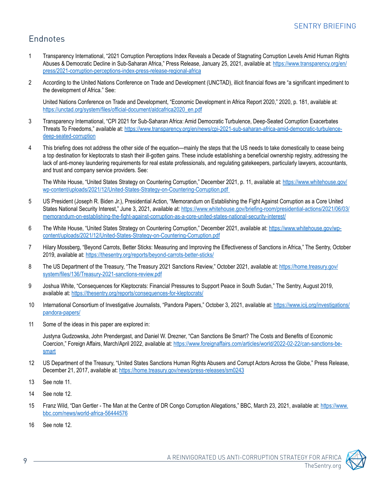# <span id="page-8-0"></span>Endnotes

- [1](#page-0-0) Transparency International, "2021 Corruption Perceptions Index Reveals a Decade of Stagnating Corruption Levels Amid Human Rights Abuses & Democratic Decline in Sub-Saharan Africa," Press Release, January 25, 2021, available at: [https://www.transparency.org/en/](https://www.transparency.org/en/press/2021-corruption-perceptions-index-press-release-regional-afric) [press/2021-corruption-perceptions-index-press-release-regional-africa](https://www.transparency.org/en/press/2021-corruption-perceptions-index-press-release-regional-afric)
- [2](#page-0-0) According to the United Nations Conference on Trade and Development (UNCTAD), illicit financial flows are "a significant impediment to the development of Africa." See:

 United Nations Conference on Trade and Development, "Economic Development in Africa Report 2020," 2020, p. 181, available at: https://unctad.org/system/files/official-document/aldcafrica2020\_en.pdf

- [3](#page-0-0) Transparency International, "CPI 2021 for Sub-Saharan Africa: Amid Democratic Turbulence, Deep-Seated Corruption Exacerbates Threats To Freedoms," available at: https://www.transparency.org/en/news/cpi-2021-sub-saharan-africa-amid-democratic-turbulencedeep-seated-corruption
- [4](#page-0-0) This briefing does not address the other side of the equation—mainly the steps that the US needs to take domestically to cease being a top destination for kleptocrats to stash their ill-gotten gains. These include establishing a beneficial ownership registry, addressing the lack of anti-money laundering requirements for real estate professionals, and regulating gatekeepers, particularly lawyers, accountants, and trust and company service providers. See:

The White House, "United States Strategy on Countering Corruption," December 2021, p. 11, available at: [https://www.whitehouse.gov/](https://www.whitehouse.gov/wp-content/uploads/2021/12/United-States-Strategy-on-Countering-Corruptio) [wp-content/uploads/2021/12/United-States-Strategy-on-Countering-Corruption.pdf](https://www.whitehouse.gov/wp-content/uploads/2021/12/United-States-Strategy-on-Countering-Corruptio)

- [5](#page-0-0) US President (Joseph R. Biden Jr.), Presidential Action, "Memorandum on Establishing the Fight Against Corruption as a Core United States National Security Interest," June 3, 2021, available at: [https://www.whitehouse.gov/briefing-room/presidential-actions/2021/06/03/](https://www.whitehouse.gov/briefing-room/presidential-actions/2021/06/03/memorandum-on-establishing-) [memorandum-on-establishing-the-fight-against-corruption-as-a-core-united-states-national-security-interest/](https://www.whitehouse.gov/briefing-room/presidential-actions/2021/06/03/memorandum-on-establishing-)
- [6](#page-0-0) The White House, "United States Strategy on Countering Corruption," December 2021, available at: https://www.whitehouse.gov/wpcontent/uploads/2021/12/United-States-Strategy-on-Countering-Corruption.pdf
- [7](#page-1-0) Hilary Mossberg, "Beyond Carrots, Better Sticks: Measuring and Improving the Effectiveness of Sanctions in Africa," The Sentry, October 2019, available at: <https://thesentry.org/reports/beyond-carrots-better-sticks/>
- [8](#page-1-0) The US Department of the Treasury, "The Treasury 2021 Sanctions Review," October 2021, available at: [https://home.treasury.gov/](https://home.treasury.gov/system/files/136/Treasury-2021-sanctions-review.pdf) [system/files/136/Treasury-2021-sanctions-review.pdf](https://home.treasury.gov/system/files/136/Treasury-2021-sanctions-review.pdf)
- [9](#page-1-0) Joshua White, "Consequences for Kleptocrats: Financial Pressures to Support Peace in South Sudan," The Sentry, August 2019, available at: https://thesentry.org/reports/consequences-for-kleptocrats/
- [10](#page-1-0) International Consortium of Investigative Journalists, "Pandora Papers," October 3, 2021, available at: [https://www.icij.org/investigations/](https://www.icij.org/investigations/pandora-papers/ ) [pandora-papers/](https://www.icij.org/investigations/pandora-papers/ )
- [11](#page-1-0) Some of the ideas in this paper are explored in:

Justyna Gudzowska, John Prendergast, and Daniel W. Drezner, "Can Sanctions Be Smart? The Costs and Benefits of Economic Coercion," Foreign Affairs, March/April 2022, available at: [https://www.foreignaffairs.com/articles/world/2022-02-22/can-sanctions-be](https://www.foreignaffairs.com/articles/world/2022-02-22/can-sanctions-be-smart )[smart](https://www.foreignaffairs.com/articles/world/2022-02-22/can-sanctions-be-smart )

- [12](#page-1-0) US Department of the Treasury, "United States Sanctions Human Rights Abusers and Corrupt Actors Across the Globe," Press Release, December 21, 2017, available at: https://home.treasury.gov/news/press-releases/sm0243
- [13](#page-1-0) See note 11.
- [14](#page-1-0) See note 12.
- [15](#page-1-0) Franz Wild, "Dan Gertler The Man at the Centre of DR Congo Corruption Allegations," BBC, March 23, 2021, available at: [https://www.](https://www.bbc.com/news/world-africa-56444576) [bbc.com/news/world-africa-56444576](https://www.bbc.com/news/world-africa-56444576)
- [16](#page-1-0) See note 12.

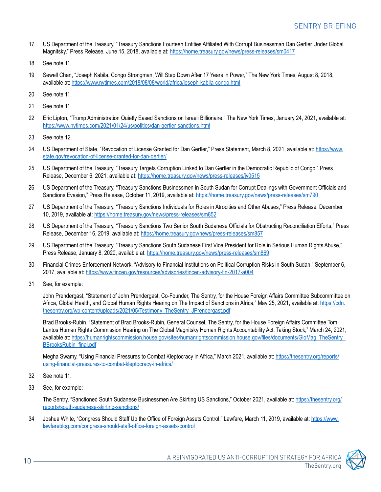- <span id="page-9-0"></span>[17](#page-1-0) US Department of the Treasury, "Treasury Sanctions Fourteen Entities Affiliated With Corrupt Businessman Dan Gertler Under Global Magnitsky," Press Release, June 15, 2018, available at: https://home.treasury.gov/news/press-releases/sm0417
- [18](#page-1-0) See note 11.
- [19](#page-1-0) Sewell Chan, "Joseph Kabila, Congo Strongman, Will Step Down After 17 Years in Power," The New York Times, August 8, 2018, available at: https://www.nytimes.com/2018/08/08/world/africa/joseph-kabila-congo.html
- [20](#page-1-0) See note 11.
- [21](#page-2-0) See note 11.
- [22](#page-2-0) Eric Lipton, "Trump Administration Quietly Eased Sanctions on Israeli Billionaire," The New York Times, January 24, 2021, available at: <https://www.nytimes.com/2021/01/24/us/politics/dan-gertler-sanctions.html>
- [23](#page-2-0) See note 12.
- [24](#page-2-0) US Department of State, "Revocation of License Granted for Dan Gertler," Press Statement, March 8, 2021, available at: https://www. state.gov/revocation-of-license-granted-for-dan-gertler/
- [25](#page-2-0) US Department of the Treasury, "Treasury Targets Corruption Linked to Dan Gertler in the Democratic Republic of Congo," Press Release, December 6, 2021, available at: https://home.treasury.gov/news/press-releases/jy0515
- [26](#page-2-0) US Department of the Treasury, "Treasury Sanctions Businessmen in South Sudan for Corrupt Dealings with Government Officials and Sanctions Evasion," Press Release, October 11, 2019, available at: https://home.treasury.gov/news/press-releases/sm790
- [27](#page-2-0) US Department of the Treasury, "Treasury Sanctions Individuals for Roles in Atrocities and Other Abuses," Press Release, December 10, 2019, available at: https://home.treasury.gov/news/press-releases/sm852
- [28](#page-2-0) US Department of the Treasury, "Treasury Sanctions Two Senior South Sudanese Officials for Obstructing Reconciliation Efforts," Press Release, December 16, 2019, available at: https://home.treasury.gov/news/press-releases/sm857
- [29](#page-2-0) US Department of the Treasury, "Treasury Sanctions South Sudanese First Vice President for Role in Serious Human Rights Abuse," Press Release, January 8, 2020, available at: https://home.treasury.gov/news/press-releases/sm869
- [30](#page-2-0) Financial Crimes Enforcement Network, "Advisory to Financial Institutions on Political Corruption Risks in South Sudan," September 6, 2017, available at: https://www.fincen.gov/resources/advisories/fincen-advisory-fin-2017-a004
- [31](#page-2-0) See, for example:

 John Prendergast, "Statement of John Prendergast, Co-Founder, The Sentry, for the House Foreign Affairs Committee Subcommittee on Africa, Global Health, and Global Human Rights Hearing on The Impact of Sanctions in Africa," May 25, 2021, available at: [https://cdn.](https://cdn.thesentry.org/wp-content/uploads/2021/05/Testimony_TheSentry_JPrendergast.pdf) [thesentry.org/wp-content/uploads/2021/05/Testimony\\_TheSentry\\_JPrendergast.pdf](https://cdn.thesentry.org/wp-content/uploads/2021/05/Testimony_TheSentry_JPrendergast.pdf)

 Brad Brooks-Rubin, "Statement of Brad Brooks-Rubin, General Counsel, The Sentry, for the House Foreign Affairs Committee Tom Lantos Human Rights Commission Hearing on The Global Magnitsky Human Rights Accountability Act: Taking Stock," March 24, 2021, available at: [https://humanrightscommission.house.gov/sites/humanrightscommission.house.gov/files/documents/GloMag\\_TheSentry\\_](https://humanrightscommission.house.gov/sites/humanrightscommission.house.gov/files/documents/GloMag_TheSentry_BBrooksRubin_final.pdf) [BBrooksRubin\\_final.pdf](https://humanrightscommission.house.gov/sites/humanrightscommission.house.gov/files/documents/GloMag_TheSentry_BBrooksRubin_final.pdf)

 Megha Swamy, "Using Financial Pressures to Combat Kleptocracy in Africa," March 2021, available at: [https://thesentry.org/reports/](https://thesentry.org/reports/using-financial-pressures-to-combat-kleptocracy-in-africa/) [using-financial-pressures-to-combat-kleptocracy-in-africa/](https://thesentry.org/reports/using-financial-pressures-to-combat-kleptocracy-in-africa/)

- [32](#page-2-0) See note 11.
- [33](#page-2-0) See, for example:

The Sentry, "Sanctioned South Sudanese Businessmen Are Skirting US Sanctions," October 2021, available at: https://thesentry.org/ reports/south-sudanese-skirting-sanctions/

[34](#page-2-0) Joshua White, "Congress Should Staff Up the Office of Foreign Assets Control," Lawfare, March 11, 2019, available at: [https://www.](https://www.lawfareblog.com/congress-should-staff-office-foreign-assets-control) [lawfareblog.com/congress-should-staff-office-foreign-assets-control](https://www.lawfareblog.com/congress-should-staff-office-foreign-assets-control)

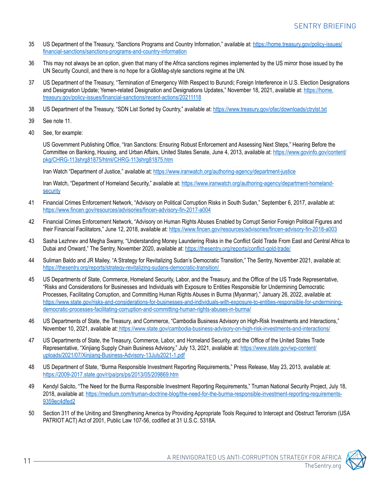- <span id="page-10-0"></span>[35](#page-2-0) US Department of the Treasury, "Sanctions Programs and Country Information," available at: https://home.treasury.gov/policy-issues/ financial-sanctions/sanctions-programs-and-country-information
- [36](#page-2-0) This may not always be an option, given that many of the Africa sanctions regimes implemented by the US mirror those issued by the UN Security Council, and there is no hope for a GloMag-style sanctions regime at the UN.
- [37](#page-2-0) US Department of the Treasury, "Termination of Emergency With Respect to Burundi; Foreign Interference in U.S. Election Designations and Designation Update; Yemen-related Designation and Designations Updates," November 18, 2021, available at: [https://home.](https://home.treasury.gov/policy-issues/financial-sanctions/recent-actions/20211118) [treasury.gov/policy-issues/financial-sanctions/recent-actions/20211118](https://home.treasury.gov/policy-issues/financial-sanctions/recent-actions/20211118)
- [38](#page-2-0) US Department of the Treasury, "SDN List Sorted by Country," available at: https://www.treasury.gov/ofac/downloads/ctrylst.txt
- [39](#page-2-0) See note 11.
- [40](#page-3-0) See, for example:

US Government Publishing Office, "Iran Sanctions: Ensuring Robust Enforcement and Assessing Next Steps," Hearing Before the Committee on Banking, Housing, and Urban Affairs, United States Senate, June 4, 2013, available at: [https://www.govinfo.gov/content/](https://www.govinfo.gov/content/pkg/CHRG-113shrg81875/html/CHRG-113shrg81875.htm) [pkg/CHRG-113shrg81875/html/CHRG-113shrg81875.htm](https://www.govinfo.gov/content/pkg/CHRG-113shrg81875/html/CHRG-113shrg81875.htm)

Iran Watch "Department of Justice," available at: <https://www.iranwatch.org/authoring-agency/department-justice>

 Iran Watch, "Department of Homeland Security," available at: https://www.iranwatch.org/authoring-agency/department-homeland**security** 

- [41](#page-3-0) Financial Crimes Enforcement Network, "Advisory on Political Corruption Risks in South Sudan," September 6, 2017, available at: https://www.fincen.gov/resources/advisories/fincen-advisory-fin-2017-a004
- [42](#page-3-0) Financial Crimes Enforcement Network, "Advisory on Human Rights Abuses Enabled by Corrupt Senior Foreign Political Figures and their Financial Facilitators," June 12, 2018, available at: https://www.fincen.gov/resources/advisories/fincen-advisory-fin-2018-a003
- [43](#page-3-0) Sasha Lezhnev and Megha Swamy, "Understanding Money Laundering Risks in the Conflict Gold Trade From East and Central Africa to Dubai and Onward," The Sentry, November 2020, available at: https://thesentry.org/reports/conflict-gold-trade/
- [44](#page-3-0) Suliman Baldo and JR Mailey, "A Strategy for Revitalizing Sudan's Democratic Transition," The Sentry, November 2021, available at: https://thesentry.org/reports/strategy-revitalizing-sudans-democratic-transition/
- [45](#page-3-0) US Departments of State, Commerce, Homeland Security, Labor, and the Treasury, and the Office of the US Trade Representative, "Risks and Considerations for Businesses and Individuals with Exposure to Entities Responsible for Undermining Democratic Processes, Facilitating Corruption, and Committing Human Rights Abuses in Burma (Myanmar)," January 26, 2022, available at: https://www.state.gov/risks-and-considerations-for-businesses-and-individuals-with-exposure-to-entities-responsible-for-underminingdemocratic-processes-facilitating-corruption-and-committing-human-rights-abuses-in-burma/
- [46](#page-3-0) US Departments of State, the Treasury, and Commerce, "Cambodia Business Advisory on High-Risk Investments and Interactions," November 10, 2021, available at: https://www.state.gov/cambodia-business-advisory-on-high-risk-investments-and-interactions/
- [47](#page-3-0) US Departments of State, the Treasury, Commerce, Labor, and Homeland Security, and the Office of the United States Trade Representative, "Xinjiang Supply Chain Business Advisory," July 13, 2021, available at: [https://www.state.gov/wp-content/](https://www.state.gov/wp-content/uploads/2021/07/Xinjiang-Business-Advisory-13July2021-1.pdf) [uploads/2021/07/Xinjiang-Business-Advisory-13July2021-1.pdf](https://www.state.gov/wp-content/uploads/2021/07/Xinjiang-Business-Advisory-13July2021-1.pdf)
- [48](#page-3-0) US Department of State, "Burma Responsible Investment Reporting Requirements," Press Release, May 23, 2013, available at: https://2009-2017.state.gov/r/pa/prs/ps/2013/05/209869.htm
- [49](#page-3-0) Kendyl Salcito, "The Need for the Burma Responsible Investment Reporting Requirements," Truman National Security Project, July 18, 2018, available at: https://medium.com/truman-doctrine-blog/the-need-for-the-burma-responsible-investment-reporting-requirements-9359ec4dfed2
- [50](#page-3-0) Section 311 of the Uniting and Strengthening America by Providing Appropriate Tools Required to Intercept and Obstruct Terrorism (USA PATRIOT ACT) Act of 2001, Public Law 107-56, codified at 31 U.S.C. 5318A.

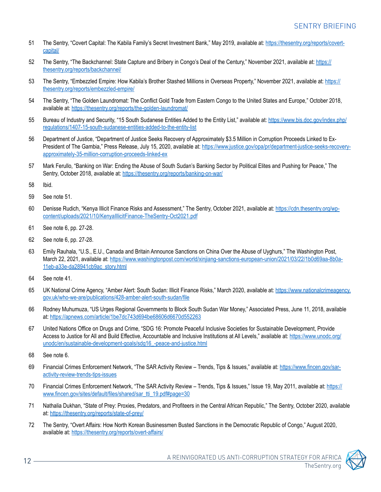- <span id="page-11-0"></span>[51](#page-3-0) The Sentry, "Covert Capital: The Kabila Family's Secret Investment Bank," May 2019, available at: https://thesentry.org/reports/covertcapital/
- [52](#page-3-0) The Sentry, "The Backchannel: State Capture and Bribery in Congo's Deal of the Century," November 2021, available at: https:// thesentry.org/reports/backchannel/
- [53](#page-3-0) The Sentry, "Embezzled Empire: How Kabila's Brother Stashed Millions in Overseas Property," November 2021, available at: https:// thesentry.org/reports/embezzled-empire/
- [54](#page-4-0) The Sentry, "The Golden Laundromat: The Conflict Gold Trade from Eastern Congo to the United States and Europe," October 2018, available at: https://thesentry.org/reports/the-golden-laundromat/
- [55](#page-4-0) Bureau of Industry and Security, "15 South Sudanese Entities Added to the Entity List," available at: [https://www.bis.doc.gov/index.php/](https://www.bis.doc.gov/index.php/regulations/1407-15-south-sudanese-entities-added-to-the-entity-li) [regulations/1407-15-south-sudanese-entities-added-to-the-entity-list](https://www.bis.doc.gov/index.php/regulations/1407-15-south-sudanese-entities-added-to-the-entity-li)
- [56](#page-4-0) Department of Justice, "Department of Justice Seeks Recovery of Approximately \$3.5 Million in Corruption Proceeds Linked to Ex-President of The Gambia," Press Release, July 15, 2020, available at: https://www.justice.gov/opa/pr/department-justice-seeks-recoveryapproximately-35-million-corruption-proceeds-linked-ex
- [57](#page-4-0) Mark Ferullo, "Banking on War: Ending the Abuse of South Sudan's Banking Sector by Political Elites and Pushing for Peace," The Sentry, October 2018, available at: https://thesentry.org/reports/banking-on-war/
- [58](#page-4-0) Ibid.
- [59](#page-4-0) See note 51.
- [60](#page-4-0) Denisse Rudich, "Kenya Illicit Finance Risks and Assessment," The Sentry, October 2021, available at: https://cdn.thesentry.org/wpcontent/uploads/2021/10/KenyaIllicitFinance-TheSentry-Oct2021.pdf
- [61](#page-5-0) See note 6, pp. 27-28.
- [62](#page-5-0) See note 6, pp. 27-28.
- [63](#page-5-0) Emily Rauhala, "U.S., E.U., Canada and Britain Announce Sanctions on China Over the Abuse of Uyghurs," The Washington Post, March 22, 2021, available at: https://www.washingtonpost.com/world/xinjiang-sanctions-european-union/2021/03/22/1b0d69aa-8b0a-11eb-a33e-da28941cb9ac\_story.html
- [64](#page-5-0) See note 41.
- [65](#page-5-0) UK National Crime Agency, "Amber Alert: South Sudan: Illicit Finance Risks," March 2020, available at: [https://www.nationalcrimeagency.](https://www.nationalcrimeagency.gov.uk/who-we-are/publications/428-amber-alert-south-sudan/file) [gov.uk/who-we-are/publications/428-amber-alert-south-sudan/file](https://www.nationalcrimeagency.gov.uk/who-we-are/publications/428-amber-alert-south-sudan/file)
- [66](#page-5-0) Rodney Muhumuza, "US Urges Regional Governments to Block South Sudan War Money," Associated Press, June 11, 2018, available at: https://apnews.com/article/1be7dc743d694be68606d6670d552263
- [67](#page-6-0) United Nations Office on Drugs and Crime, "SDG 16: Promote Peaceful Inclusive Societies for Sustainable Development, Provide Access to Justice for All and Build Effective, Accountable and Inclusive Institutions at All Levels," available at: [https://www.unodc.org/](https://www.unodc.org/unodc/en/sustainable-development-goals/sdg16_-peace-and-justice.html) [unodc/en/sustainable-development-goals/sdg16\\_-peace-and-justice.html](https://www.unodc.org/unodc/en/sustainable-development-goals/sdg16_-peace-and-justice.html)
- [68](#page-6-0) See note 6.
- [69](#page-6-0) Financial Crimes Enforcement Network, "The SAR Activity Review Trends, Tips & Issues," available at: [https://www.fincen.gov/sar](https://www.fincen.gov/sar-activity-review-trends-tips-issues)[activity-review-trends-tips-issues](https://www.fincen.gov/sar-activity-review-trends-tips-issues)
- [70](#page-6-0) Financial Crimes Enforcement Network, "The SAR Activity Review Trends, Tips & Issues," Issue 19, May 2011, available at: https:// www.fincen.gov/sites/default/files/shared/sar\_tti\_19.pdf#page=30
- [71](#page-6-0) Nathalia Dukhan, "State of Prey: Proxies, Predators, and Profiteers in the Central African Republic," The Sentry, October 2020, available at: https://thesentry.org/reports/state-of-prey/
- [72](#page-6-0) The Sentry, "Overt Affairs: How North Korean Businessmen Busted Sanctions in the Democratic Republic of Congo," August 2020, available at: https://thesentry.org/reports/overt-affairs/